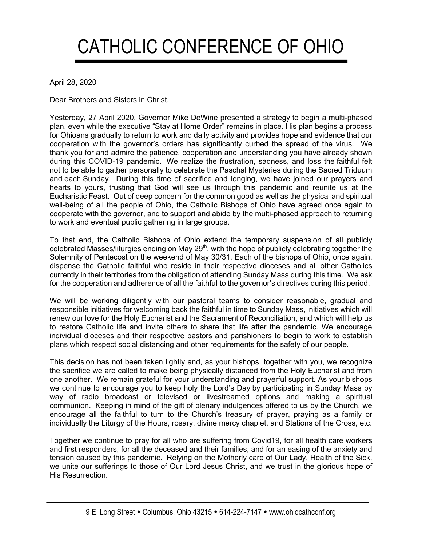## CATHOLIC CONFERENCE OF OHIO

April 28, 2020

Dear Brothers and Sisters in Christ,

Yesterday, 27 April 2020, Governor Mike DeWine presented a strategy to begin a multi-phased plan, even while the executive "Stay at Home Order" remains in place. His plan begins a process for Ohioans gradually to return to work and daily activity and provides hope and evidence that our cooperation with the governor's orders has significantly curbed the spread of the virus. We thank you for and admire the patience, cooperation and understanding you have already shown during this COVID-19 pandemic. We realize the frustration, sadness, and loss the faithful felt not to be able to gather personally to celebrate the Paschal Mysteries during the Sacred Triduum and each Sunday. During this time of sacrifice and longing, we have joined our prayers and hearts to yours, trusting that God will see us through this pandemic and reunite us at the Eucharistic Feast. Out of deep concern for the common good as well as the physical and spiritual well-being of all the people of Ohio, the Catholic Bishops of Ohio have agreed once again to cooperate with the governor, and to support and abide by the multi-phased approach to returning to work and eventual public gathering in large groups.

To that end, the Catholic Bishops of Ohio extend the temporary suspension of all publicly celebrated Masses/liturgies ending on May 29<sup>th</sup>, with the hope of publicly celebrating together the Solemnity of Pentecost on the weekend of May 30/31. Each of the bishops of Ohio, once again, dispense the Catholic faithful who reside in their respective dioceses and all other Catholics currently in their territories from the obligation of attending Sunday Mass during this time. We ask for the cooperation and adherence of all the faithful to the governor's directives during this period.

We will be working diligently with our pastoral teams to consider reasonable, gradual and responsible initiatives for welcoming back the faithful in time to Sunday Mass, initiatives which will renew our love for the Holy Eucharist and the Sacrament of Reconciliation, and which will help us to restore Catholic life and invite others to share that life after the pandemic. We encourage individual dioceses and their respective pastors and parishioners to begin to work to establish plans which respect social distancing and other requirements for the safety of our people.

This decision has not been taken lightly and, as your bishops, together with you, we recognize the sacrifice we are called to make being physically distanced from the Holy Eucharist and from one another. We remain grateful for your understanding and prayerful support. As your bishops we continue to encourage you to keep holy the Lord's Day by participating in Sunday Mass by way of radio broadcast or televised or livestreamed options and making a spiritual communion. Keeping in mind of the gift of plenary indulgences offered to us by the Church, we encourage all the faithful to turn to the Church's treasury of prayer, praying as a family or individually the Liturgy of the Hours, rosary, divine mercy chaplet, and Stations of the Cross, etc.

Together we continue to pray for all who are suffering from Covid19, for all health care workers and first responders, for all the deceased and their families, and for an easing of the anxiety and tension caused by this pandemic. Relying on the Motherly care of Our Lady, Health of the Sick, we unite our sufferings to those of Our Lord Jesus Christ, and we trust in the glorious hope of His Resurrection.